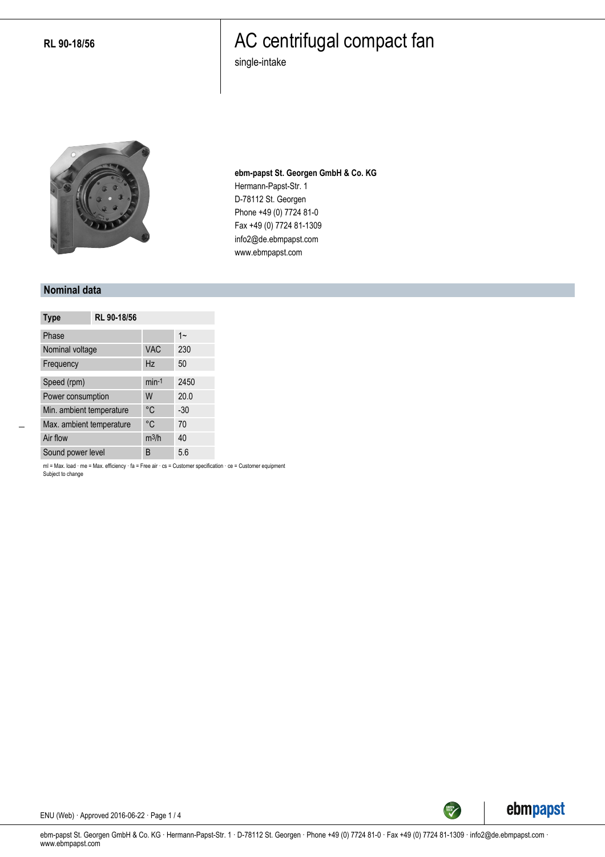**RL 90-18/56**

### AC centrifugal compact fan

single-intake



**ebm-papst St. Georgen GmbH & Co. KG** Hermann-Papst-Str. 1 D-78112 St. Georgen Phone +49 (0) 7724 81-0 Fax +49 (0) 7724 81-1309 info2@de.ebmpapst.com www.ebmpapst.com

#### **Nominal data**

| <b>Type</b>              | RL 90-18/56 |            |       |
|--------------------------|-------------|------------|-------|
| Phase                    |             |            | $1 -$ |
| Nominal voltage          |             | <b>VAC</b> | 230   |
| Frequency                |             | Hz         | 50    |
| Speed (rpm)              |             | $min-1$    | 2450  |
| Power consumption        |             | W          | 20.0  |
| Min. ambient temperature |             | °C         | $-30$ |
| Max. ambient temperature |             | °C         | 70    |
| Air flow                 |             | $m^3/h$    | 40    |
| Sound power level        |             | B          | 5.6   |

ml = Max. load · me = Max. efficiency · fa = Free air · cs = Customer specification · ce = Customer equipment Subject to change



ENU (Web) · Approved 2016-06-22 · Page 1 / 4

ebm-papst St. Georgen GmbH & Co. KG · Hermann-Papst-Str. 1 · D-78112 St. Georgen · Phone +49 (0) 7724 81-0 · Fax +49 (0) 7724 81-1309 · info2@de.ebmpapst.com · www.ebmpapst.com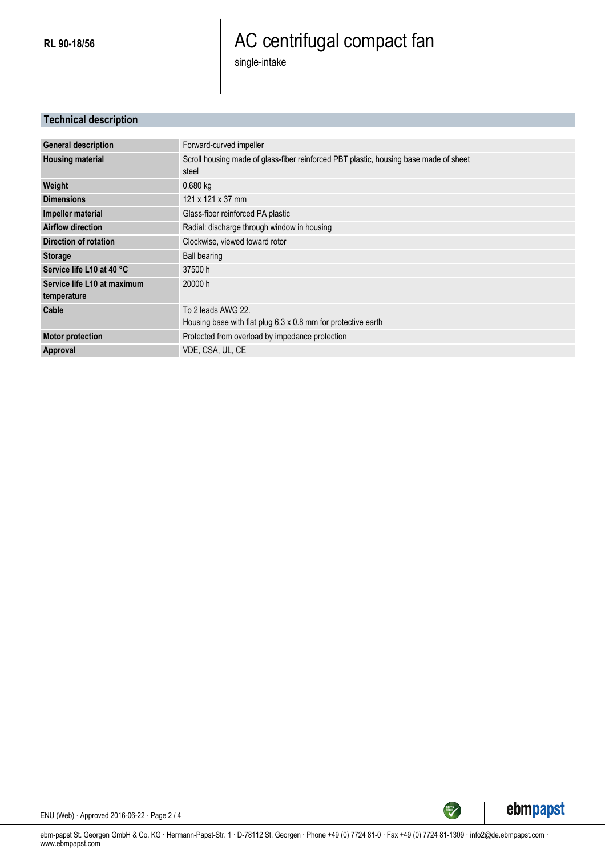**RL 90-18/56**

# AC centrifugal compact fan

single-intake

### **Technical description**

| <b>General description</b>  | Forward-curved impeller                                                                        |
|-----------------------------|------------------------------------------------------------------------------------------------|
| <b>Housing material</b>     | Scroll housing made of glass-fiber reinforced PBT plastic, housing base made of sheet<br>steel |
| Weight                      | 0.680 kg                                                                                       |
| <b>Dimensions</b>           | 121 x 121 x 37 mm                                                                              |
| Impeller material           | Glass-fiber reinforced PA plastic                                                              |
| <b>Airflow direction</b>    | Radial: discharge through window in housing                                                    |
| Direction of rotation       | Clockwise, viewed toward rotor                                                                 |
| <b>Storage</b>              | <b>Ball bearing</b>                                                                            |
| Service life L10 at 40 °C   | 37500 h                                                                                        |
| Service life L10 at maximum | 20000 h                                                                                        |
| temperature                 |                                                                                                |
| Cable                       | To 2 leads AWG 22.                                                                             |
|                             | Housing base with flat plug 6.3 x 0.8 mm for protective earth                                  |
| <b>Motor protection</b>     | Protected from overload by impedance protection                                                |
| Approval                    | VDE, CSA, UL, CE                                                                               |



ENU (Web) · Approved 2016-06-22 · Page 2 / 4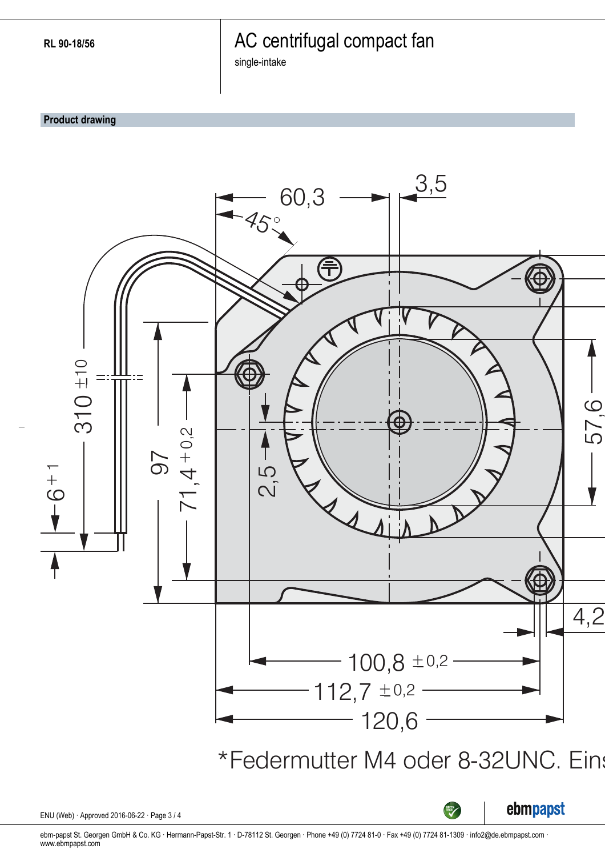### AC centrifugal compact fan

single-intake

**Product drawing**



ebm-papst St. Georgen GmbH & Co. KG · Hermann-Papst-Str. 1 · D-78112 St. Georgen · Phone +49 (0) 7724 81-0 · Fax +49 (0) 7724 81-1309 · info2@de.ebmpapst.com · www.ebmpapst.com